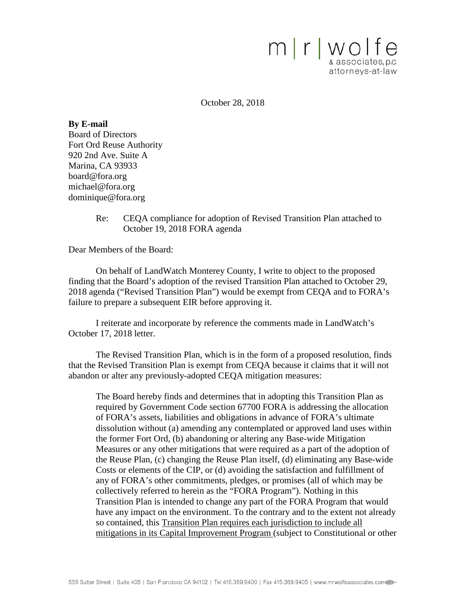

October 28, 2018

**By E-mail** Board of Directors Fort Ord Reuse Authority 920 2nd Ave. Suite A Marina, CA 93933 board@fora.org michael@fora.org dominique@fora.org

> Re: CEQA compliance for adoption of Revised Transition Plan attached to October 19, 2018 FORA agenda

Dear Members of the Board:

On behalf of LandWatch Monterey County, I write to object to the proposed finding that the Board's adoption of the revised Transition Plan attached to October 29, 2018 agenda ("Revised Transition Plan") would be exempt from CEQA and to FORA's failure to prepare a subsequent EIR before approving it.

I reiterate and incorporate by reference the comments made in LandWatch's October 17, 2018 letter.

The Revised Transition Plan, which is in the form of a proposed resolution, finds that the Revised Transition Plan is exempt from CEQA because it claims that it will not abandon or alter any previously-adopted CEQA mitigation measures:

The Board hereby finds and determines that in adopting this Transition Plan as required by Government Code section 67700 FORA is addressing the allocation of FORA's assets, liabilities and obligations in advance of FORA's ultimate dissolution without (a) amending any contemplated or approved land uses within the former Fort Ord, (b) abandoning or altering any Base-wide Mitigation Measures or any other mitigations that were required as a part of the adoption of the Reuse Plan, (c) changing the Reuse Plan itself, (d) eliminating any Base-wide Costs or elements of the CIP, or (d) avoiding the satisfaction and fulfillment of any of FORA's other commitments, pledges, or promises (all of which may be collectively referred to herein as the "FORA Program"). Nothing in this Transition Plan is intended to change any part of the FORA Program that would have any impact on the environment. To the contrary and to the extent not already so contained, this Transition Plan requires each jurisdiction to include all mitigations in its Capital Improvement Program (subject to Constitutional or other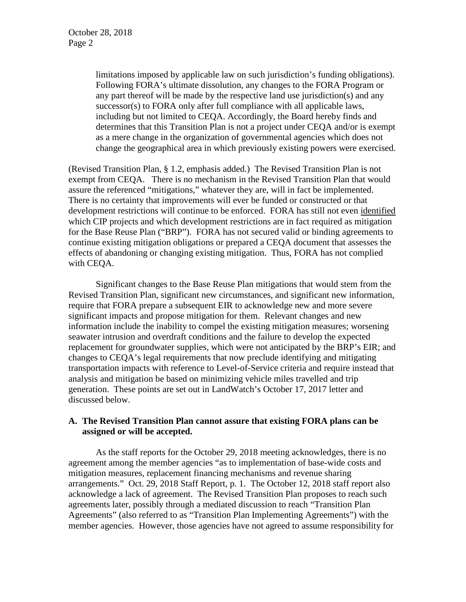limitations imposed by applicable law on such jurisdiction's funding obligations). Following FORA's ultimate dissolution, any changes to the FORA Program or any part thereof will be made by the respective land use jurisdiction(s) and any successor(s) to FORA only after full compliance with all applicable laws, including but not limited to CEQA. Accordingly, the Board hereby finds and determines that this Transition Plan is not a project under CEQA and/or is exempt as a mere change in the organization of governmental agencies which does not change the geographical area in which previously existing powers were exercised.

(Revised Transition Plan, § 1.2, emphasis added.) The Revised Transition Plan is not exempt from CEQA. There is no mechanism in the Revised Transition Plan that would assure the referenced "mitigations," whatever they are, will in fact be implemented. There is no certainty that improvements will ever be funded or constructed or that development restrictions will continue to be enforced. FORA has still not even identified which CIP projects and which development restrictions are in fact required as mitigation for the Base Reuse Plan ("BRP"). FORA has not secured valid or binding agreements to continue existing mitigation obligations or prepared a CEQA document that assesses the effects of abandoning or changing existing mitigation. Thus, FORA has not complied with CEQA.

Significant changes to the Base Reuse Plan mitigations that would stem from the Revised Transition Plan, significant new circumstances, and significant new information, require that FORA prepare a subsequent EIR to acknowledge new and more severe significant impacts and propose mitigation for them. Relevant changes and new information include the inability to compel the existing mitigation measures; worsening seawater intrusion and overdraft conditions and the failure to develop the expected replacement for groundwater supplies, which were not anticipated by the BRP's EIR; and changes to CEQA's legal requirements that now preclude identifying and mitigating transportation impacts with reference to Level-of-Service criteria and require instead that analysis and mitigation be based on minimizing vehicle miles travelled and trip generation. These points are set out in LandWatch's October 17, 2017 letter and discussed below.

# **A. The Revised Transition Plan cannot assure that existing FORA plans can be assigned or will be accepted.**

As the staff reports for the October 29, 2018 meeting acknowledges, there is no agreement among the member agencies "as to implementation of base-wide costs and mitigation measures, replacement financing mechanisms and revenue sharing arrangements." Oct. 29, 2018 Staff Report, p. 1. The October 12, 2018 staff report also acknowledge a lack of agreement. The Revised Transition Plan proposes to reach such agreements later, possibly through a mediated discussion to reach "Transition Plan Agreements" (also referred to as "Transition Plan Implementing Agreements") with the member agencies. However, those agencies have not agreed to assume responsibility for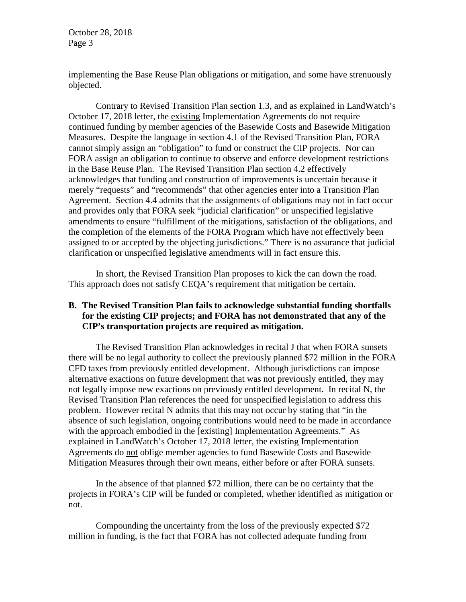implementing the Base Reuse Plan obligations or mitigation, and some have strenuously objected.

Contrary to Revised Transition Plan section 1.3, and as explained in LandWatch's October 17, 2018 letter, the existing Implementation Agreements do not require continued funding by member agencies of the Basewide Costs and Basewide Mitigation Measures. Despite the language in section 4.1 of the Revised Transition Plan, FORA cannot simply assign an "obligation" to fund or construct the CIP projects. Nor can FORA assign an obligation to continue to observe and enforce development restrictions in the Base Reuse Plan. The Revised Transition Plan section 4.2 effectively acknowledges that funding and construction of improvements is uncertain because it merely "requests" and "recommends" that other agencies enter into a Transition Plan Agreement. Section 4.4 admits that the assignments of obligations may not in fact occur and provides only that FORA seek "judicial clarification" or unspecified legislative amendments to ensure "fulfillment of the mitigations, satisfaction of the obligations, and the completion of the elements of the FORA Program which have not effectively been assigned to or accepted by the objecting jurisdictions." There is no assurance that judicial clarification or unspecified legislative amendments will in fact ensure this.

In short, the Revised Transition Plan proposes to kick the can down the road. This approach does not satisfy CEQA's requirement that mitigation be certain.

### **B. The Revised Transition Plan fails to acknowledge substantial funding shortfalls for the existing CIP projects; and FORA has not demonstrated that any of the CIP's transportation projects are required as mitigation.**

The Revised Transition Plan acknowledges in recital J that when FORA sunsets there will be no legal authority to collect the previously planned \$72 million in the FORA CFD taxes from previously entitled development. Although jurisdictions can impose alternative exactions on future development that was not previously entitled, they may not legally impose new exactions on previously entitled development. In recital N, the Revised Transition Plan references the need for unspecified legislation to address this problem. However recital N admits that this may not occur by stating that "in the absence of such legislation, ongoing contributions would need to be made in accordance with the approach embodied in the [existing] Implementation Agreements." As explained in LandWatch's October 17, 2018 letter, the existing Implementation Agreements do not oblige member agencies to fund Basewide Costs and Basewide Mitigation Measures through their own means, either before or after FORA sunsets.

In the absence of that planned \$72 million, there can be no certainty that the projects in FORA's CIP will be funded or completed, whether identified as mitigation or not.

Compounding the uncertainty from the loss of the previously expected \$72 million in funding, is the fact that FORA has not collected adequate funding from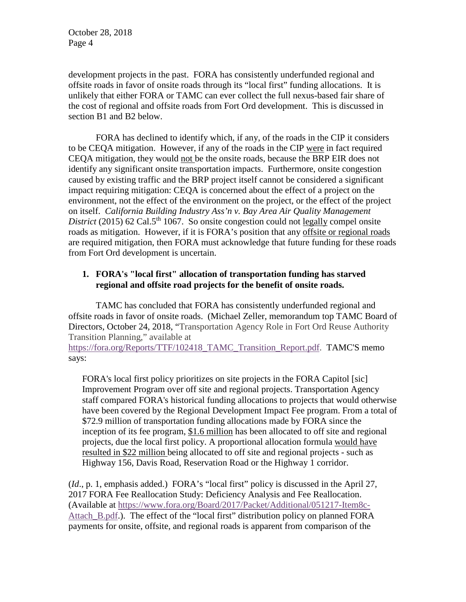development projects in the past. FORA has consistently underfunded regional and offsite roads in favor of onsite roads through its "local first" funding allocations. It is unlikely that either FORA or TAMC can ever collect the full nexus-based fair share of the cost of regional and offsite roads from Fort Ord development. This is discussed in section B1 and B2 below.

FORA has declined to identify which, if any, of the roads in the CIP it considers to be CEQA mitigation. However, if any of the roads in the CIP were in fact required CEQA mitigation, they would not be the onsite roads, because the BRP EIR does not identify any significant onsite transportation impacts. Furthermore, onsite congestion caused by existing traffic and the BRP project itself cannot be considered a significant impact requiring mitigation: CEQA is concerned about the effect of a project on the environment, not the effect of the environment on the project, or the effect of the project on itself. *California Building Industry Ass'n v. Bay Area Air Quality Management District* (2015) 62 Cal.5<sup>th</sup> 1067. So onsite congestion could not <u>legally</u> compel onsite roads as mitigation. However, if it is FORA's position that any offsite or regional roads are required mitigation, then FORA must acknowledge that future funding for these roads from Fort Ord development is uncertain.

# **1. FORA's "local first" allocation of transportation funding has starved regional and offsite road projects for the benefit of onsite roads.**

TAMC has concluded that FORA has consistently underfunded regional and offsite roads in favor of onsite roads. (Michael Zeller, memorandum top TAMC Board of Directors, October 24, 2018, "Transportation Agency Role in Fort Ord Reuse Authority Transition Planning," available at

https://fora.org/Reports/TTF/102418 TAMC Transition Report.pdf. TAMC'S memo says:

FORA's local first policy prioritizes on site projects in the FORA Capitol [sic] Improvement Program over off site and regional projects. Transportation Agency staff compared FORA's historical funding allocations to projects that would otherwise have been covered by the Regional Development Impact Fee program. From a total of \$72.9 million of transportation funding allocations made by FORA since the inception of its fee program, \$1.6 million has been allocated to off site and regional projects, due the local first policy. A proportional allocation formula would have resulted in \$22 million being allocated to off site and regional projects - such as Highway 156, Davis Road, Reservation Road or the Highway 1 corridor.

(*Id*., p. 1, emphasis added.) FORA's "local first" policy is discussed in the April 27, 2017 FORA Fee Reallocation Study: Deficiency Analysis and Fee Reallocation. (Available at [https://www.fora.org/Board/2017/Packet/Additional/051217-Item8c-](https://www.fora.org/Board/2017/Packet/Additional/051217-Item8c-Attach_B.pdf)Attach B.pdf.). The effect of the "local first" distribution policy on planned FORA payments for onsite, offsite, and regional roads is apparent from comparison of the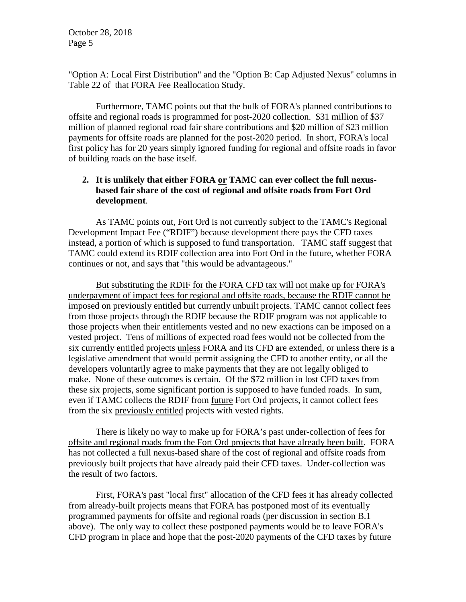"Option A: Local First Distribution" and the "Option B: Cap Adjusted Nexus" columns in Table 22 of that FORA Fee Reallocation Study.

Furthermore, TAMC points out that the bulk of FORA's planned contributions to offsite and regional roads is programmed for post-2020 collection. \$31 million of \$37 million of planned regional road fair share contributions and \$20 million of \$23 million payments for offsite roads are planned for the post-2020 period. In short, FORA's local first policy has for 20 years simply ignored funding for regional and offsite roads in favor of building roads on the base itself.

# **2. It is unlikely that either FORA or TAMC can ever collect the full nexusbased fair share of the cost of regional and offsite roads from Fort Ord development**.

As TAMC points out, Fort Ord is not currently subject to the TAMC's Regional Development Impact Fee ("RDIF") because development there pays the CFD taxes instead, a portion of which is supposed to fund transportation. TAMC staff suggest that TAMC could extend its RDIF collection area into Fort Ord in the future, whether FORA continues or not, and says that "this would be advantageous."

But substituting the RDIF for the FORA CFD tax will not make up for FORA's underpayment of impact fees for regional and offsite roads, because the RDIF cannot be imposed on previously entitled but currently unbuilt projects. TAMC cannot collect fees from those projects through the RDIF because the RDIF program was not applicable to those projects when their entitlements vested and no new exactions can be imposed on a vested project. Tens of millions of expected road fees would not be collected from the six currently entitled projects unless FORA and its CFD are extended, or unless there is a legislative amendment that would permit assigning the CFD to another entity, or all the developers voluntarily agree to make payments that they are not legally obliged to make. None of these outcomes is certain. Of the \$72 million in lost CFD taxes from these six projects, some significant portion is supposed to have funded roads. In sum, even if TAMC collects the RDIF from future Fort Ord projects, it cannot collect fees from the six previously entitled projects with vested rights.

There is likely no way to make up for FORA's past under-collection of fees for offsite and regional roads from the Fort Ord projects that have already been built. FORA has not collected a full nexus-based share of the cost of regional and offsite roads from previously built projects that have already paid their CFD taxes. Under-collection was the result of two factors.

First, FORA's past "local first" allocation of the CFD fees it has already collected from already-built projects means that FORA has postponed most of its eventually programmed payments for offsite and regional roads (per discussion in section B.1 above). The only way to collect these postponed payments would be to leave FORA's CFD program in place and hope that the post-2020 payments of the CFD taxes by future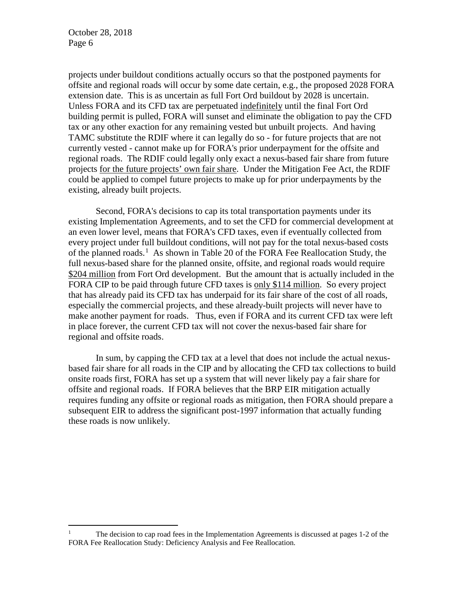projects under buildout conditions actually occurs so that the postponed payments for offsite and regional roads will occur by some date certain, e.g., the proposed 2028 FORA extension date. This is as uncertain as full Fort Ord buildout by 2028 is uncertain. Unless FORA and its CFD tax are perpetuated indefinitely until the final Fort Ord building permit is pulled, FORA will sunset and eliminate the obligation to pay the CFD tax or any other exaction for any remaining vested but unbuilt projects. And having TAMC substitute the RDIF where it can legally do so - for future projects that are not currently vested - cannot make up for FORA's prior underpayment for the offsite and regional roads. The RDIF could legally only exact a nexus-based fair share from future projects for the future projects' own fair share. Under the Mitigation Fee Act, the RDIF could be applied to compel future projects to make up for prior underpayments by the existing, already built projects.

Second, FORA's decisions to cap its total transportation payments under its existing Implementation Agreements, and to set the CFD for commercial development at an even lower level, means that FORA's CFD taxes, even if eventually collected from every project under full buildout conditions, will not pay for the total nexus-based costs of the planned roads.<sup>[1](#page-5-0)</sup> As shown in Table 20 of the FORA Fee Reallocation Study, the full nexus-based share for the planned onsite, offsite, and regional roads would require \$204 million from Fort Ord development. But the amount that is actually included in the FORA CIP to be paid through future CFD taxes is only \$114 million. So every project that has already paid its CFD tax has underpaid for its fair share of the cost of all roads, especially the commercial projects, and these already-built projects will never have to make another payment for roads. Thus, even if FORA and its current CFD tax were left in place forever, the current CFD tax will not cover the nexus-based fair share for regional and offsite roads.

In sum, by capping the CFD tax at a level that does not include the actual nexusbased fair share for all roads in the CIP and by allocating the CFD tax collections to build onsite roads first, FORA has set up a system that will never likely pay a fair share for offsite and regional roads. If FORA believes that the BRP EIR mitigation actually requires funding any offsite or regional roads as mitigation, then FORA should prepare a subsequent EIR to address the significant post-1997 information that actually funding these roads is now unlikely.

<span id="page-5-0"></span><sup>&</sup>lt;sup>1</sup> The decision to cap road fees in the Implementation Agreements is discussed at pages  $1-2$  of the FORA Fee Reallocation Study: Deficiency Analysis and Fee Reallocation.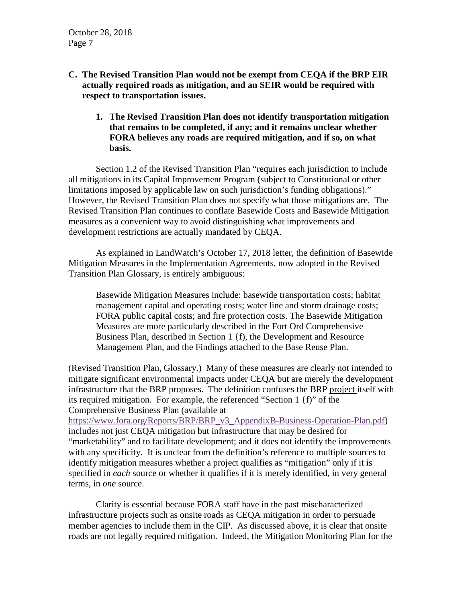- **C. The Revised Transition Plan would not be exempt from CEQA if the BRP EIR actually required roads as mitigation, and an SEIR would be required with respect to transportation issues.**
	- **1. The Revised Transition Plan does not identify transportation mitigation that remains to be completed, if any; and it remains unclear whether FORA believes any roads are required mitigation, and if so, on what basis.**

Section 1.2 of the Revised Transition Plan "requires each jurisdiction to include all mitigations in its Capital Improvement Program (subject to Constitutional or other limitations imposed by applicable law on such jurisdiction's funding obligations)." However, the Revised Transition Plan does not specify what those mitigations are. The Revised Transition Plan continues to conflate Basewide Costs and Basewide Mitigation measures as a convenient way to avoid distinguishing what improvements and development restrictions are actually mandated by CEQA.

As explained in LandWatch's October 17, 2018 letter, the definition of Basewide Mitigation Measures in the Implementation Agreements, now adopted in the Revised Transition Plan Glossary, is entirely ambiguous:

Basewide Mitigation Measures include: basewide transportation costs; habitat management capital and operating costs; water line and storm drainage costs; FORA public capital costs; and fire protection costs. The Basewide Mitigation Measures are more particularly described in the Fort Ord Comprehensive Business Plan, described in Section 1 {f), the Development and Resource Management Plan, and the Findings attached to the Base Reuse Plan.

(Revised Transition Plan, Glossary.) Many of these measures are clearly not intended to mitigate significant environmental impacts under CEQA but are merely the development infrastructure that the BRP proposes. The definition confuses the BRP project itself with its required mitigation. For example, the referenced "Section 1 {f)" of the Comprehensive Business Plan (available at

[https://www.fora.org/Reports/BRP/BRP\\_v3\\_AppendixB-Business-Operation-Plan.pdf\)](https://www.fora.org/Reports/BRP/BRP_v3_AppendixB-Business-Operation-Plan.pdf) includes not just CEQA mitigation but infrastructure that may be desired for "marketability" and to facilitate development; and it does not identify the improvements with any specificity. It is unclear from the definition's reference to multiple sources to identify mitigation measures whether a project qualifies as "mitigation" only if it is specified in *each* source or whether it qualifies if it is merely identified, in very general terms, in *one* source.

Clarity is essential because FORA staff have in the past mischaracterized infrastructure projects such as onsite roads as CEQA mitigation in order to persuade member agencies to include them in the CIP. As discussed above, it is clear that onsite roads are not legally required mitigation. Indeed, the Mitigation Monitoring Plan for the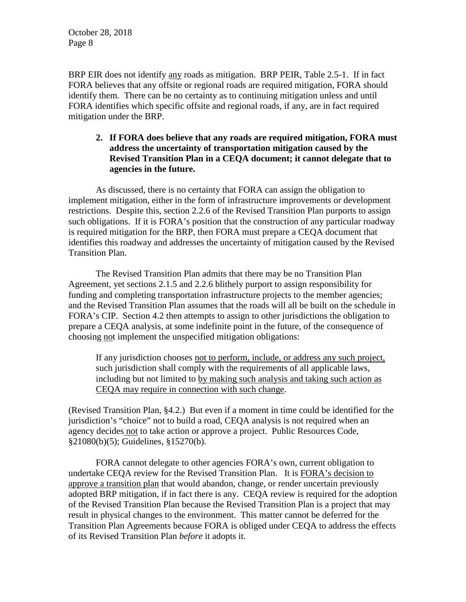BRP EIR does not identify any roads as mitigation. BRP PEIR, Table 2.5-1. If in fact FORA believes that any offsite or regional roads are required mitigation, FORA should identify them. There can be no certainty as to continuing mitigation unless and until FORA identifies which specific offsite and regional roads, if any, are in fact required mitigation under the BRP.

# **2. If FORA does believe that any roads are required mitigation, FORA must address the uncertainty of transportation mitigation caused by the Revised Transition Plan in a CEQA document; it cannot delegate that to agencies in the future.**

As discussed, there is no certainty that FORA can assign the obligation to implement mitigation, either in the form of infrastructure improvements or development restrictions. Despite this, section 2.2.6 of the Revised Transition Plan purports to assign such obligations. If it is FORA's position that the construction of any particular roadway is required mitigation for the BRP, then FORA must prepare a CEQA document that identifies this roadway and addresses the uncertainty of mitigation caused by the Revised Transition Plan.

The Revised Transition Plan admits that there may be no Transition Plan Agreement, yet sections 2.1.5 and 2.2.6 blithely purport to assign responsibility for funding and completing transportation infrastructure projects to the member agencies; and the Revised Transition Plan assumes that the roads will all be built on the schedule in FORA's CIP. Section 4.2 then attempts to assign to other jurisdictions the obligation to prepare a CEQA analysis, at some indefinite point in the future, of the consequence of choosing not implement the unspecified mitigation obligations:

If any jurisdiction chooses not to perform, include, or address any such project, such jurisdiction shall comply with the requirements of all applicable laws, including but not limited to by making such analysis and taking such action as CEQA may require in connection with such change.

(Revised Transition Plan, §4.2.) But even if a moment in time could be identified for the jurisdiction's "choice" not to build a road, CEQA analysis is not required when an agency decides not to take action or approve a project. Public Resources Code, §21080(b)(5); Guidelines, §15270(b).

FORA cannot delegate to other agencies FORA's own, current obligation to undertake CEQA review for the Revised Transition Plan. It is FORA's decision to approve a transition plan that would abandon, change, or render uncertain previously adopted BRP mitigation, if in fact there is any. CEQA review is required for the adoption of the Revised Transition Plan because the Revised Transition Plan is a project that may result in physical changes to the environment. This matter cannot be deferred for the Transition Plan Agreements because FORA is obliged under CEQA to address the effects of its Revised Transition Plan *before* it adopts it.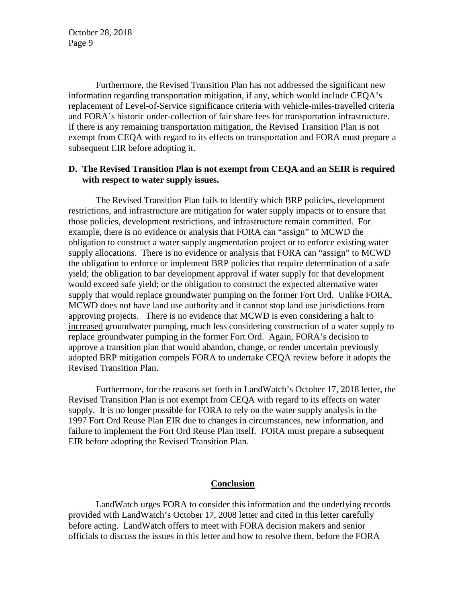Furthermore, the Revised Transition Plan has not addressed the significant new information regarding transportation mitigation, if any, which would include CEQA's replacement of Level-of-Service significance criteria with vehicle-miles-travelled criteria and FORA's historic under-collection of fair share fees for transportation infrastructure. If there is any remaining transportation mitigation, the Revised Transition Plan is not exempt from CEQA with regard to its effects on transportation and FORA must prepare a subsequent EIR before adopting it.

#### **D. The Revised Transition Plan is not exempt from CEQA and an SEIR is required with respect to water supply issues.**

The Revised Transition Plan fails to identify which BRP policies, development restrictions, and infrastructure are mitigation for water supply impacts or to ensure that those policies, development restrictions, and infrastructure remain committed. For example, there is no evidence or analysis that FORA can "assign" to MCWD the obligation to construct a water supply augmentation project or to enforce existing water supply allocations. There is no evidence or analysis that FORA can "assign" to MCWD the obligation to enforce or implement BRP policies that require determination of a safe yield; the obligation to bar development approval if water supply for that development would exceed safe yield; or the obligation to construct the expected alternative water supply that would replace groundwater pumping on the former Fort Ord. Unlike FORA, MCWD does not have land use authority and it cannot stop land use jurisdictions from approving projects. There is no evidence that MCWD is even considering a halt to increased groundwater pumping, much less considering construction of a water supply to replace groundwater pumping in the former Fort Ord. Again, FORA's decision to approve a transition plan that would abandon, change, or render uncertain previously adopted BRP mitigation compels FORA to undertake CEQA review before it adopts the Revised Transition Plan.

Furthermore, for the reasons set forth in LandWatch's October 17, 2018 letter, the Revised Transition Plan is not exempt from CEQA with regard to its effects on water supply. It is no longer possible for FORA to rely on the water supply analysis in the 1997 Fort Ord Reuse Plan EIR due to changes in circumstances, new information, and failure to implement the Fort Ord Reuse Plan itself. FORA must prepare a subsequent EIR before adopting the Revised Transition Plan.

#### **Conclusion**

LandWatch urges FORA to consider this information and the underlying records provided with LandWatch's October 17, 2008 letter and cited in this letter carefully before acting. LandWatch offers to meet with FORA decision makers and senior officials to discuss the issues in this letter and how to resolve them, before the FORA